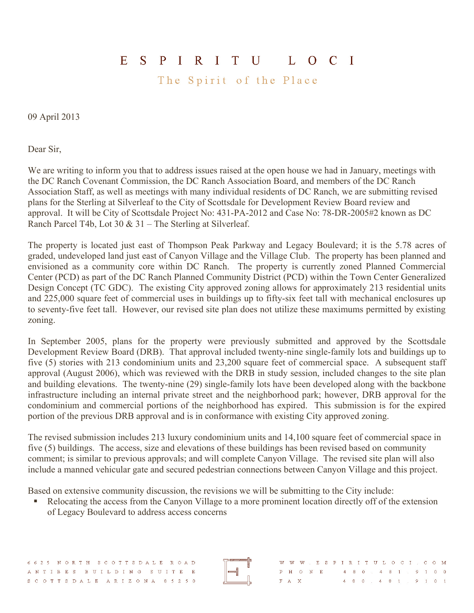## ESPIRITU LOCI

The Spirit of the Place

09 April 2013

Dear Sir,

We are writing to inform you that to address issues raised at the open house we had in January, meetings with the DC Ranch Covenant Commission, the DC Ranch Association Board, and members of the DC Ranch Association Staff, as well as meetings with many individual residents of DC Ranch, we are submitting revised plans for the Sterling at Silverleaf to the City of Scottsdale for Development Review Board review and approval. It will be City of Scottsdale Project No: 431-PA-2012 and Case No: 78-DR-2005#2 known as DC Ranch Parcel T4b, Lot 30 & 31 – The Sterling at Silverleaf.

The property is located just east of Thompson Peak Parkway and Legacy Boulevard; it is the 5.78 acres of graded, undeveloped land just east of Canyon Village and the Village Club. The property has been planned and envisioned as a community core within DC Ranch. The property is currently zoned Planned Commercial Center (PCD) as part of the DC Ranch Planned Community District (PCD) within the Town Center Generalized Design Concept (TC GDC). The existing City approved zoning allows for approximately 213 residential units and 225,000 square feet of commercial uses in buildings up to fifty-six feet tall with mechanical enclosures up to seventy-five feet tall. However, our revised site plan does not utilize these maximums permitted by existing zoning.

In September 2005, plans for the property were previously submitted and approved by the Scottsdale Development Review Board (DRB). That approval included twenty-nine single-family lots and buildings up to five (5) stories with 213 condominium units and 23,200 square feet of commercial space. A subsequent staff approval (August 2006), which was reviewed with the DRB in study session, included changes to the site plan and building elevations. The twenty-nine (29) single-family lots have been developed along with the backbone infrastructure including an internal private street and the neighborhood park; however, DRB approval for the condominium and commercial portions of the neighborhood has expired. This submission is for the expired portion of the previous DRB approval and is in conformance with existing City approved zoning.

The revised submission includes 213 luxury condominium units and 14,100 square feet of commercial space in five (5) buildings. The access, size and elevations of these buildings has been revised based on community comment; is similar to previous approvals; and will complete Canyon Village. The revised site plan will also include a manned vehicular gate and secured pedestrian connections between Canyon Village and this project.

Based on extensive community discussion, the revisions we will be submitting to the City include:

Relocating the access from the Canyon Village to a more prominent location directly off of the extension of Legacy Boulevard to address access concerns

| 6625 NORTH SCOTTSDALE ROAD |                          | WWW ESPIRITULOCI COM  |
|----------------------------|--------------------------|-----------------------|
| ANTIBES BUILDING SUITE E   | $  $ annual<br>P H O N E | 4 8 0 4 8 1 9 9 1 0 0 |
| SCOTTSDALE ARIZONA 85250   | F A X                    | 4 8 0 4 8 1 9 1 0 1   |